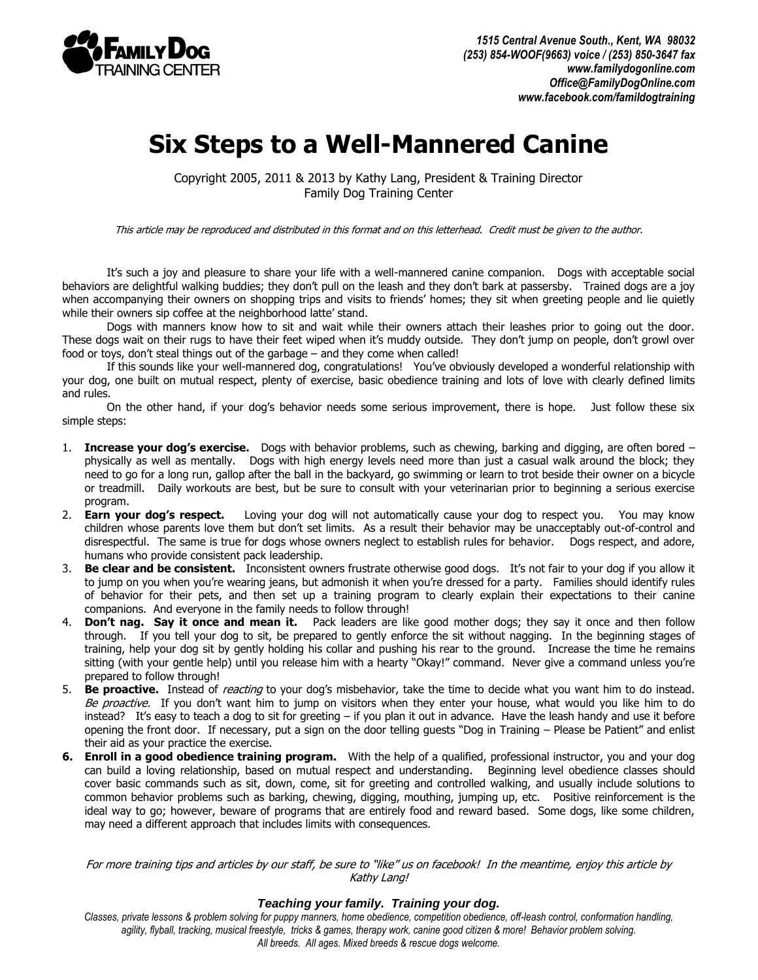

## **Six Steps to a Well-Mannered Canine**

Copyright 2005, 2011 & 2013 by Kathy Lang, President & Training Director Family Dog Training Center

This article may be reproduced and distributed in this format and on this letterhead. Credit must be given to the author.

It's such a joy and pleasure to share your life with a well-mannered canine companion. Dogs with acceptable social behaviors are delightful walking buddies; they don't pull on the leash and they don't bark at passersby. Trained dogs are a joy when accompanying their owners on shopping trips and visits to friends' homes; they sit when greeting people and lie quietly while their owners sip coffee at the neighborhood latte' stand.

Dogs with manners know how to sit and wait while their owners attach their leashes prior to going out the door. These dogs wait on their rugs to have their feet wiped when it's muddy outside. They don't jump on people, don't growl over food or toys, don't steal things out of the garbage – and they come when called!

If this sounds like your well-mannered dog, congratulations! You've obviously developed a wonderful relationship with your dog, one built on mutual respect, plenty of exercise, basic obedience training and lots of love with clearly defined limits and rules.

On the other hand, if your dog's behavior needs some serious improvement, there is hope. Just follow these six simple steps:

- 1. **Increase your dog's exercise.** Dogs with behavior problems, such as chewing, barking and digging, are often bored physically as well as mentally. Dogs with high energy levels need more than just a casual walk around the block; they need to go for a long run, gallop after the ball in the backyard, go swimming or learn to trot beside their owner on a bicycle or treadmill. Daily workouts are best, but be sure to consult with your veterinarian prior to beginning a serious exercise program.
- 2. **Earn your dog's respect.** Loving your dog will not automatically cause your dog to respect you. You may know children whose parents love them but don't set limits. As a result their behavior may be unacceptably out-of-control and disrespectful. The same is true for dogs whose owners neglect to establish rules for behavior. Dogs respect, and adore, humans who provide consistent pack leadership.
- 3. **Be clear and be consistent.** Inconsistent owners frustrate otherwise good dogs. It's not fair to your dog if you allow it to jump on you when you're wearing jeans, but admonish it when you're dressed for a party. Families should identify rules of behavior for their pets, and then set up a training program to clearly explain their expectations to their canine companions. And everyone in the family needs to follow through!
- 4. **Don't nag. Say it once and mean it.** Pack leaders are like good mother dogs; they say it once and then follow through. If you tell your dog to sit, be prepared to gently enforce the sit without nagging. In the beginning stages of training, help your dog sit by gently holding his collar and pushing his rear to the ground. Increase the time he remains sitting (with your gentle help) until you release him with a hearty "Okay!" command. Never give a command unless you're prepared to follow through!
- 5. **Be proactive.** Instead of reacting to your dog's misbehavior, take the time to decide what you want him to do instead. Be proactive. If you don't want him to jump on visitors when they enter your house, what would you like him to do instead? It's easy to teach a dog to sit for greeting – if you plan it out in advance. Have the leash handy and use it before opening the front door. If necessary, put a sign on the door telling guests "Dog in Training – Please be Patient" and enlist their aid as your practice the exercise.
- **6. Enroll in a good obedience training program.** With the help of a qualified, professional instructor, you and your dog can build a loving relationship, based on mutual respect and understanding. Beginning level obedience classes should cover basic commands such as sit, down, come, sit for greeting and controlled walking, and usually include solutions to common behavior problems such as barking, chewing, digging, mouthing, jumping up, etc. Positive reinforcement is the ideal way to go; however, beware of programs that are entirely food and reward based. Some dogs, like some children, may need a different approach that includes limits with consequences.

For more training tips and articles by our staff, be sure to "like" us on facebook! In the meantime, enjoy this article by Kathy Lang!

## *Teaching your family. Training your dog.*

*Classes, private lessons & problem solving for puppy manners, home obedience, competition obedience, off-leash control, conformation handling, agility, flyball, tracking, musical freestyle, tricks & games, therapy work, canine good citizen & more! Behavior problem solving. All breeds. All ages. Mixed breeds & rescue dogs welcome.*